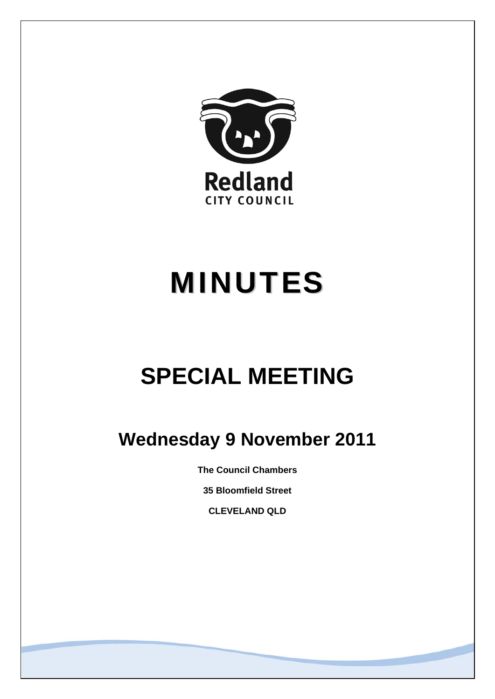

# MINUTES

## **SPECIAL MEETING**

### **Wednesday 9 November 2011**

**The Council Chambers** 

**35 Bloomfield Street** 

**CLEVELAND QLD**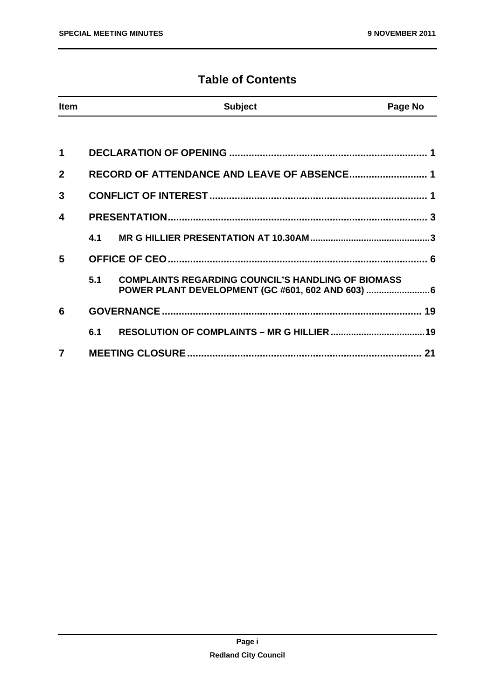#### **Table of Contents**

| <b>Item</b> |     | <b>Subject</b>                                                                                                 | Page No |
|-------------|-----|----------------------------------------------------------------------------------------------------------------|---------|
|             |     |                                                                                                                |         |
| 1           |     |                                                                                                                |         |
| $\mathbf 2$ |     | RECORD OF ATTENDANCE AND LEAVE OF ABSENCE 1                                                                    |         |
| 3           |     |                                                                                                                |         |
| 4           |     |                                                                                                                |         |
|             | 4.1 |                                                                                                                |         |
| 5           |     |                                                                                                                |         |
|             | 5.1 | <b>COMPLAINTS REGARDING COUNCIL'S HANDLING OF BIOMASS</b><br>POWER PLANT DEVELOPMENT (GC #601, 602 AND 603)  6 |         |
| 6           |     |                                                                                                                |         |
|             | 6.1 |                                                                                                                |         |
| 7           |     |                                                                                                                | 21      |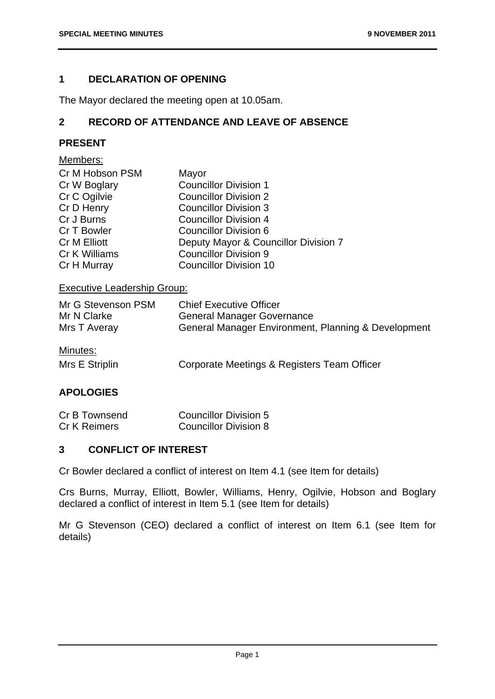#### **1 DECLARATION OF OPENING**

The Mayor declared the meeting open at 10.05am.

#### **2 RECORD OF ATTENDANCE AND LEAVE OF ABSENCE**

#### **PRESENT**

#### Members:

| Cr M Hobson PSM | Mayor                                |
|-----------------|--------------------------------------|
| Cr W Boglary    | <b>Councillor Division 1</b>         |
| Cr C Ogilvie    | <b>Councillor Division 2</b>         |
| Cr D Henry      | <b>Councillor Division 3</b>         |
| Cr J Burns      | <b>Councillor Division 4</b>         |
| Cr T Bowler     | <b>Councillor Division 6</b>         |
| Cr M Elliott    | Deputy Mayor & Councillor Division 7 |
| Cr K Williams   | <b>Councillor Division 9</b>         |
| Cr H Murray     | <b>Councillor Division 10</b>        |

#### Executive Leadership Group:

| Mr G Stevenson PSM         | <b>Chief Executive Officer</b>                      |
|----------------------------|-----------------------------------------------------|
| Mr N Clarke                | <b>General Manager Governance</b>                   |
| Mrs T Averay               | General Manager Environment, Planning & Development |
| Minutes:<br>Mrs E Striplin | Corporate Meetings & Registers Team Officer         |

#### **APOLOGIES**

| Cr B Townsend | <b>Councillor Division 5</b> |
|---------------|------------------------------|
| Cr K Reimers  | <b>Councillor Division 8</b> |

#### **3 CONFLICT OF INTEREST**

Cr Bowler declared a conflict of interest on Item 4.1 (see Item for details)

Crs Burns, Murray, Elliott, Bowler, Williams, Henry, Ogilvie, Hobson and Boglary declared a conflict of interest in Item 5.1 (see Item for details)

Mr G Stevenson (CEO) declared a conflict of interest on Item 6.1 (see Item for details)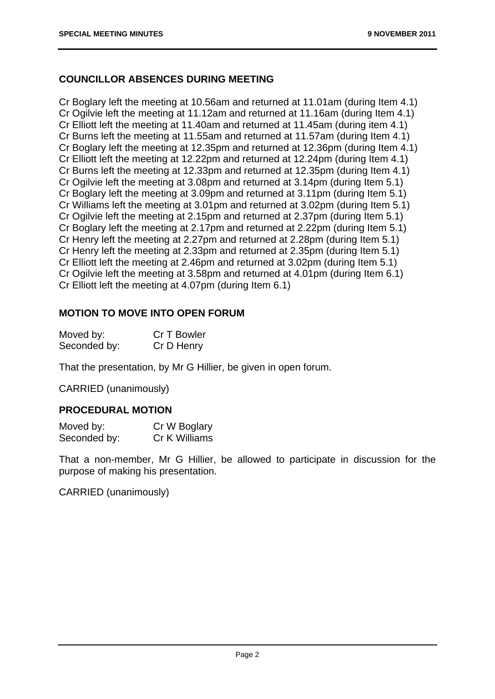#### **COUNCILLOR ABSENCES DURING MEETING**

Cr Boglary left the meeting at 10.56am and returned at 11.01am (during Item 4.1) Cr Ogilvie left the meeting at 11.12am and returned at 11.16am (during Item 4.1) Cr Elliott left the meeting at 11.40am and returned at 11.45am (during item 4.1) Cr Burns left the meeting at 11.55am and returned at 11.57am (during Item 4.1) Cr Boglary left the meeting at 12.35pm and returned at 12.36pm (during Item 4.1) Cr Elliott left the meeting at 12.22pm and returned at 12.24pm (during Item 4.1) Cr Burns left the meeting at 12.33pm and returned at 12.35pm (during Item 4.1) Cr Ogilvie left the meeting at 3.08pm and returned at 3.14pm (during Item 5.1) Cr Boglary left the meeting at 3.09pm and returned at 3.11pm (during Item 5.1) Cr Williams left the meeting at 3.01pm and returned at 3.02pm (during Item 5.1) Cr Ogilvie left the meeting at 2.15pm and returned at 2.37pm (during Item 5.1) Cr Boglary left the meeting at 2.17pm and returned at 2.22pm (during Item 5.1) Cr Henry left the meeting at 2.27pm and returned at 2.28pm (during Item 5.1) Cr Henry left the meeting at 2.33pm and returned at 2.35pm (during Item 5.1) Cr Elliott left the meeting at 2.46pm and returned at 3.02pm (during Item 5.1) Cr Ogilvie left the meeting at 3.58pm and returned at 4.01pm (during Item 6.1) Cr Elliott left the meeting at 4.07pm (during Item 6.1)

#### **MOTION TO MOVE INTO OPEN FORUM**

| Moved by:    | Cr T Bowler |
|--------------|-------------|
| Seconded by: | Cr D Henry  |

That the presentation, by Mr G Hillier, be given in open forum.

CARRIED (unanimously)

#### **PROCEDURAL MOTION**

| Moved by:    | Cr W Boglary  |
|--------------|---------------|
| Seconded by: | Cr K Williams |

That a non-member, Mr G Hillier, be allowed to participate in discussion for the purpose of making his presentation.

CARRIED (unanimously)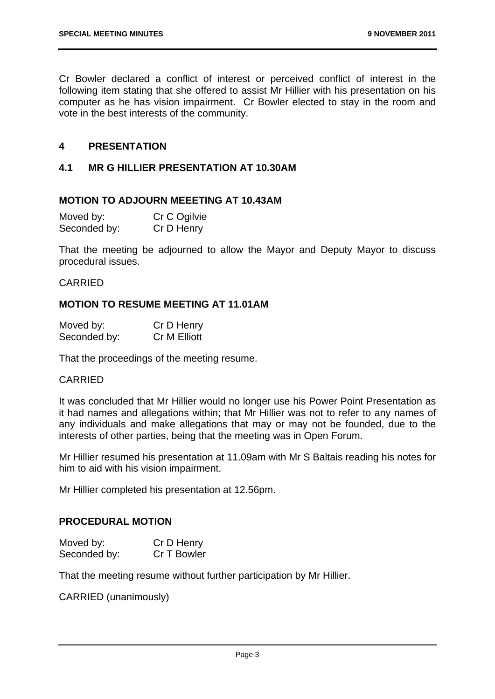Cr Bowler declared a conflict of interest or perceived conflict of interest in the following item stating that she offered to assist Mr Hillier with his presentation on his computer as he has vision impairment. Cr Bowler elected to stay in the room and vote in the best interests of the community.

#### **4 PRESENTATION**

#### **4.1 MR G HILLIER PRESENTATION AT 10.30AM**

#### **MOTION TO ADJOURN MEEETING AT 10.43AM**

| Moved by:    | Cr C Ogilvie |
|--------------|--------------|
| Seconded by: | Cr D Henry   |

That the meeting be adjourned to allow the Mayor and Deputy Mayor to discuss procedural issues.

#### CARRIED

#### **MOTION TO RESUME MEETING AT 11.01AM**

| Moved by:    | Cr D Henry   |
|--------------|--------------|
| Seconded by: | Cr M Elliott |

That the proceedings of the meeting resume.

#### CARRIED

It was concluded that Mr Hillier would no longer use his Power Point Presentation as it had names and allegations within; that Mr Hillier was not to refer to any names of any individuals and make allegations that may or may not be founded, due to the interests of other parties, being that the meeting was in Open Forum.

Mr Hillier resumed his presentation at 11.09am with Mr S Baltais reading his notes for him to aid with his vision impairment.

Mr Hillier completed his presentation at 12.56pm.

#### **PROCEDURAL MOTION**

| Moved by:    | Cr D Henry  |
|--------------|-------------|
| Seconded by: | Cr T Bowler |

That the meeting resume without further participation by Mr Hillier.

CARRIED (unanimously)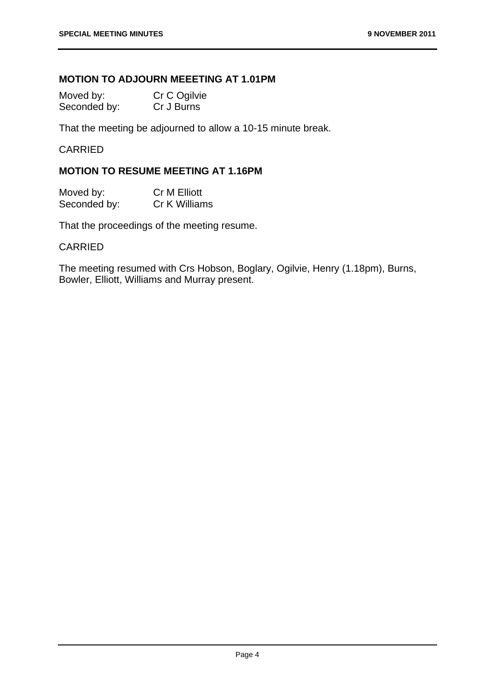#### **MOTION TO ADJOURN MEEETING AT 1.01PM**

| Moved by:    | Cr C Ogilvie |
|--------------|--------------|
| Seconded by: | Cr J Burns   |

That the meeting be adjourned to allow a 10-15 minute break.

#### CARRIED

#### **MOTION TO RESUME MEETING AT 1.16PM**

| Moved by:    | Cr M Elliott  |
|--------------|---------------|
| Seconded by: | Cr K Williams |

That the proceedings of the meeting resume.

#### CARRIED

The meeting resumed with Crs Hobson, Boglary, Ogilvie, Henry (1.18pm), Burns, Bowler, Elliott, Williams and Murray present.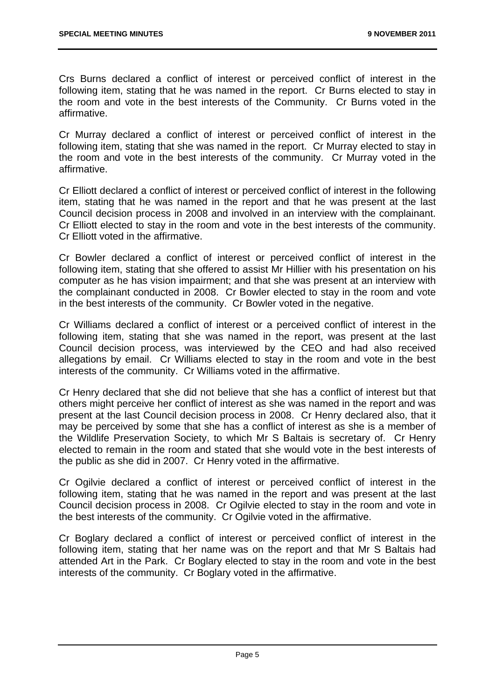Crs Burns declared a conflict of interest or perceived conflict of interest in the following item, stating that he was named in the report. Cr Burns elected to stay in the room and vote in the best interests of the Community. Cr Burns voted in the affirmative.

Cr Murray declared a conflict of interest or perceived conflict of interest in the following item, stating that she was named in the report. Cr Murray elected to stay in the room and vote in the best interests of the community. Cr Murray voted in the affirmative.

Cr Elliott declared a conflict of interest or perceived conflict of interest in the following item, stating that he was named in the report and that he was present at the last Council decision process in 2008 and involved in an interview with the complainant. Cr Elliott elected to stay in the room and vote in the best interests of the community. Cr Elliott voted in the affirmative.

Cr Bowler declared a conflict of interest or perceived conflict of interest in the following item, stating that she offered to assist Mr Hillier with his presentation on his computer as he has vision impairment; and that she was present at an interview with the complainant conducted in 2008. Cr Bowler elected to stay in the room and vote in the best interests of the community. Cr Bowler voted in the negative.

Cr Williams declared a conflict of interest or a perceived conflict of interest in the following item, stating that she was named in the report, was present at the last Council decision process, was interviewed by the CEO and had also received allegations by email. Cr Williams elected to stay in the room and vote in the best interests of the community. Cr Williams voted in the affirmative.

Cr Henry declared that she did not believe that she has a conflict of interest but that others might perceive her conflict of interest as she was named in the report and was present at the last Council decision process in 2008. Cr Henry declared also, that it may be perceived by some that she has a conflict of interest as she is a member of the Wildlife Preservation Society, to which Mr S Baltais is secretary of. Cr Henry elected to remain in the room and stated that she would vote in the best interests of the public as she did in 2007. Cr Henry voted in the affirmative.

Cr Ogilvie declared a conflict of interest or perceived conflict of interest in the following item, stating that he was named in the report and was present at the last Council decision process in 2008. Cr Ogilvie elected to stay in the room and vote in the best interests of the community. Cr Ogilvie voted in the affirmative.

Cr Boglary declared a conflict of interest or perceived conflict of interest in the following item, stating that her name was on the report and that Mr S Baltais had attended Art in the Park. Cr Boglary elected to stay in the room and vote in the best interests of the community. Cr Boglary voted in the affirmative.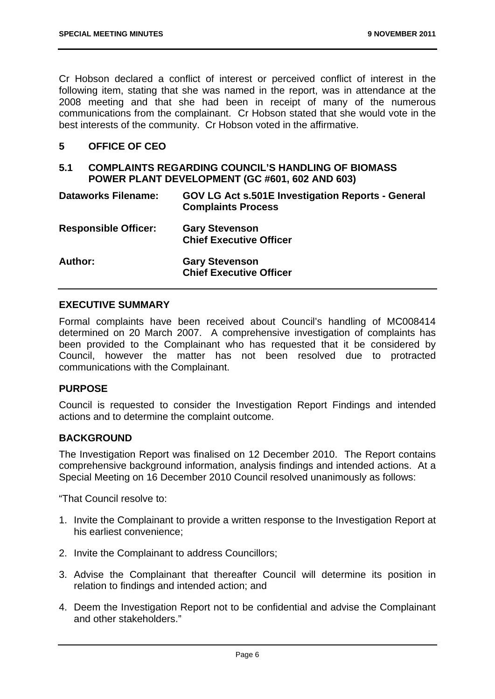Cr Hobson declared a conflict of interest or perceived conflict of interest in the following item, stating that she was named in the report, was in attendance at the 2008 meeting and that she had been in receipt of many of the numerous communications from the complainant. Cr Hobson stated that she would vote in the best interests of the community. Cr Hobson voted in the affirmative.

#### **5 OFFICE OF CEO**

#### **5.1 COMPLAINTS REGARDING COUNCIL'S HANDLING OF BIOMASS POWER PLANT DEVELOPMENT (GC #601, 602 AND 603)**

| <b>Dataworks Filename:</b>  | <b>GOV LG Act s.501E Investigation Reports - General</b><br><b>Complaints Process</b> |
|-----------------------------|---------------------------------------------------------------------------------------|
| <b>Responsible Officer:</b> | <b>Gary Stevenson</b><br><b>Chief Executive Officer</b>                               |
| Author:                     | <b>Gary Stevenson</b><br><b>Chief Executive Officer</b>                               |

#### **EXECUTIVE SUMMARY**

Formal complaints have been received about Council's handling of MC008414 determined on 20 March 2007. A comprehensive investigation of complaints has been provided to the Complainant who has requested that it be considered by Council, however the matter has not been resolved due to protracted communications with the Complainant.

#### **PURPOSE**

Council is requested to consider the Investigation Report Findings and intended actions and to determine the complaint outcome.

#### **BACKGROUND**

The Investigation Report was finalised on 12 December 2010. The Report contains comprehensive background information, analysis findings and intended actions. At a Special Meeting on 16 December 2010 Council resolved unanimously as follows:

"That Council resolve to:

- 1. Invite the Complainant to provide a written response to the Investigation Report at his earliest convenience;
- 2. Invite the Complainant to address Councillors;
- 3. Advise the Complainant that thereafter Council will determine its position in relation to findings and intended action; and
- 4. Deem the Investigation Report not to be confidential and advise the Complainant and other stakeholders."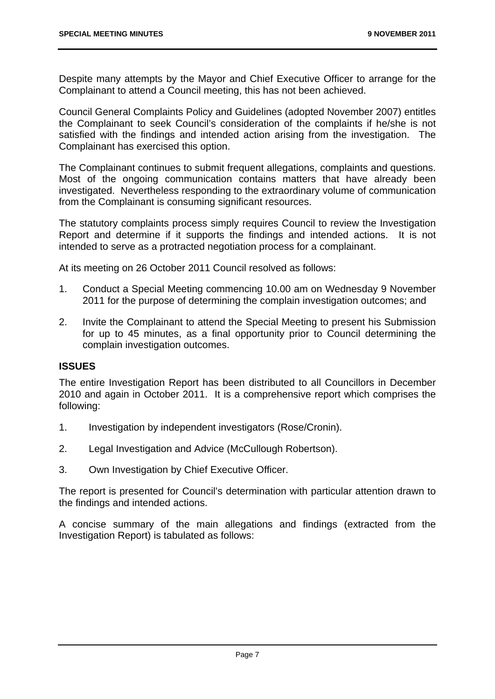Despite many attempts by the Mayor and Chief Executive Officer to arrange for the Complainant to attend a Council meeting, this has not been achieved.

Council General Complaints Policy and Guidelines (adopted November 2007) entitles the Complainant to seek Council's consideration of the complaints if he/she is not satisfied with the findings and intended action arising from the investigation. The Complainant has exercised this option.

The Complainant continues to submit frequent allegations, complaints and questions. Most of the ongoing communication contains matters that have already been investigated. Nevertheless responding to the extraordinary volume of communication from the Complainant is consuming significant resources.

The statutory complaints process simply requires Council to review the Investigation Report and determine if it supports the findings and intended actions. It is not intended to serve as a protracted negotiation process for a complainant.

At its meeting on 26 October 2011 Council resolved as follows:

- 1. Conduct a Special Meeting commencing 10.00 am on Wednesday 9 November 2011 for the purpose of determining the complain investigation outcomes; and
- 2. Invite the Complainant to attend the Special Meeting to present his Submission for up to 45 minutes, as a final opportunity prior to Council determining the complain investigation outcomes.

#### **ISSUES**

The entire Investigation Report has been distributed to all Councillors in December 2010 and again in October 2011. It is a comprehensive report which comprises the following:

- 1. Investigation by independent investigators (Rose/Cronin).
- 2. Legal Investigation and Advice (McCullough Robertson).
- 3. Own Investigation by Chief Executive Officer.

The report is presented for Council's determination with particular attention drawn to the findings and intended actions.

A concise summary of the main allegations and findings (extracted from the Investigation Report) is tabulated as follows: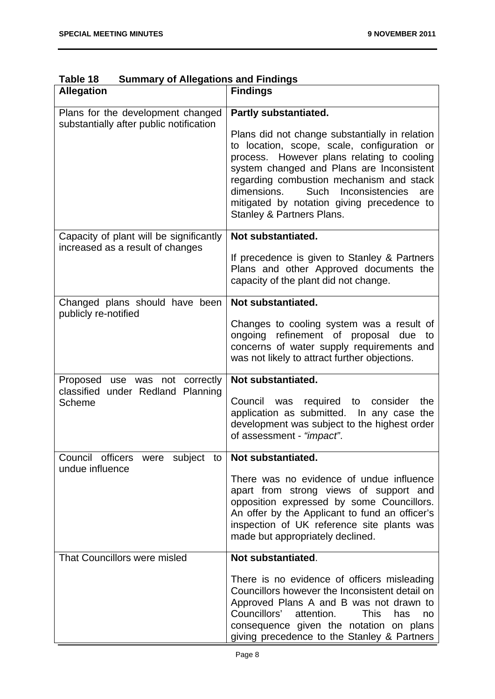| <b>Allegation</b>                                                            | <b>Findings</b>                                                                                                                                                                                                                                                                                                                                                                           |
|------------------------------------------------------------------------------|-------------------------------------------------------------------------------------------------------------------------------------------------------------------------------------------------------------------------------------------------------------------------------------------------------------------------------------------------------------------------------------------|
| Plans for the development changed<br>substantially after public notification | Partly substantiated.<br>Plans did not change substantially in relation<br>to location, scope, scale, configuration or<br>process. However plans relating to cooling<br>system changed and Plans are Inconsistent<br>regarding combustion mechanism and stack<br>dimensions.<br>Such<br>Inconsistencies<br>are<br>mitigated by notation giving precedence to<br>Stanley & Partners Plans. |
| Capacity of plant will be significantly<br>increased as a result of changes  | Not substantiated.                                                                                                                                                                                                                                                                                                                                                                        |
|                                                                              | If precedence is given to Stanley & Partners<br>Plans and other Approved documents the<br>capacity of the plant did not change.                                                                                                                                                                                                                                                           |
| Changed plans should have been<br>publicly re-notified                       | Not substantiated.                                                                                                                                                                                                                                                                                                                                                                        |
|                                                                              | Changes to cooling system was a result of<br>ongoing refinement of proposal due<br>to<br>concerns of water supply requirements and<br>was not likely to attract further objections.                                                                                                                                                                                                       |
| Proposed use was not correctly                                               | Not substantiated.                                                                                                                                                                                                                                                                                                                                                                        |
| classified<br>under Redland Planning<br><b>Scheme</b>                        | Council<br>was required to<br>consider<br>the<br>application as submitted. In any case the<br>development was subject to the highest order<br>of assessment - "impact".                                                                                                                                                                                                                   |
| Council officers were subject to<br>undue influence                          | Not substantiated.                                                                                                                                                                                                                                                                                                                                                                        |
|                                                                              | There was no evidence of undue influence<br>apart from strong views of support and<br>opposition expressed by some Councillors.<br>An offer by the Applicant to fund an officer's<br>inspection of UK reference site plants was<br>made but appropriately declined.                                                                                                                       |
| That Councillors were misled                                                 | Not substantiated.                                                                                                                                                                                                                                                                                                                                                                        |
|                                                                              | There is no evidence of officers misleading<br>Councillors however the Inconsistent detail on<br>Approved Plans A and B was not drawn to<br>Councillors'<br>attention.<br><b>This</b><br>has<br>no<br>consequence given the notation on plans<br>giving precedence to the Stanley & Partners                                                                                              |

**Table 18 Summary of Allegations and Findings**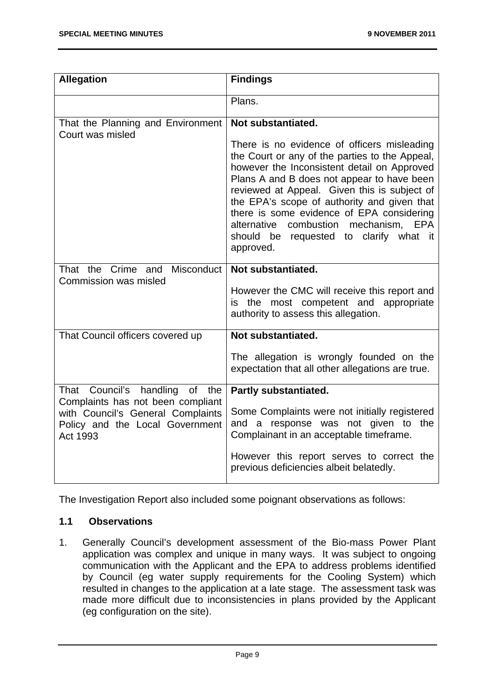| <b>Allegation</b>                                                                | <b>Findings</b>                                                                                                                                                                                                                                                                                                                                                                                                                        |
|----------------------------------------------------------------------------------|----------------------------------------------------------------------------------------------------------------------------------------------------------------------------------------------------------------------------------------------------------------------------------------------------------------------------------------------------------------------------------------------------------------------------------------|
|                                                                                  | Plans.                                                                                                                                                                                                                                                                                                                                                                                                                                 |
| That the Planning and Environment<br>Court was misled                            | Not substantiated.                                                                                                                                                                                                                                                                                                                                                                                                                     |
|                                                                                  | There is no evidence of officers misleading<br>the Court or any of the parties to the Appeal,<br>however the Inconsistent detail on Approved<br>Plans A and B does not appear to have been<br>reviewed at Appeal. Given this is subject of<br>the EPA's scope of authority and given that<br>there is some evidence of EPA considering<br>alternative combustion mechanism, EPA<br>should be requested to clarify what it<br>approved. |
| Misconduct<br>That the Crime and                                                 | Not substantiated.                                                                                                                                                                                                                                                                                                                                                                                                                     |
| Commission was misled                                                            | However the CMC will receive this report and<br>is the most competent and appropriate<br>authority to assess this allegation.                                                                                                                                                                                                                                                                                                          |
| That Council officers covered up                                                 | Not substantiated.                                                                                                                                                                                                                                                                                                                                                                                                                     |
|                                                                                  | The allegation is wrongly founded on the<br>expectation that all other allegations are true.                                                                                                                                                                                                                                                                                                                                           |
| Council's<br>handling<br>of<br>That<br>the<br>Complaints has not been compliant  | <b>Partly substantiated.</b>                                                                                                                                                                                                                                                                                                                                                                                                           |
| with Council's General Complaints<br>Policy and the Local Government<br>Act 1993 | Some Complaints were not initially registered<br>and a response was not given to the<br>Complainant in an acceptable timeframe.                                                                                                                                                                                                                                                                                                        |
|                                                                                  | However this report serves to correct the<br>previous deficiencies albeit belatedly.                                                                                                                                                                                                                                                                                                                                                   |

The Investigation Report also included some poignant observations as follows:

#### **1.1 Observations**

1. Generally Council's development assessment of the Bio-mass Power Plant application was complex and unique in many ways. It was subject to ongoing communication with the Applicant and the EPA to address problems identified by Council (eg water supply requirements for the Cooling System) which resulted in changes to the application at a late stage. The assessment task was made more difficult due to inconsistencies in plans provided by the Applicant (eg configuration on the site).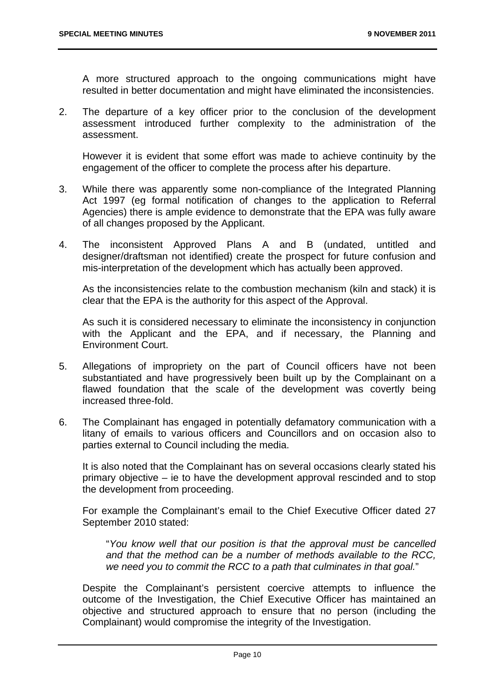A more structured approach to the ongoing communications might have resulted in better documentation and might have eliminated the inconsistencies.

2. The departure of a key officer prior to the conclusion of the development assessment introduced further complexity to the administration of the assessment.

However it is evident that some effort was made to achieve continuity by the engagement of the officer to complete the process after his departure.

- 3. While there was apparently some non-compliance of the Integrated Planning Act 1997 (eg formal notification of changes to the application to Referral Agencies) there is ample evidence to demonstrate that the EPA was fully aware of all changes proposed by the Applicant.
- 4. The inconsistent Approved Plans A and B (undated, untitled and designer/draftsman not identified) create the prospect for future confusion and mis-interpretation of the development which has actually been approved.

As the inconsistencies relate to the combustion mechanism (kiln and stack) it is clear that the EPA is the authority for this aspect of the Approval.

As such it is considered necessary to eliminate the inconsistency in conjunction with the Applicant and the EPA, and if necessary, the Planning and Environment Court.

- 5. Allegations of impropriety on the part of Council officers have not been substantiated and have progressively been built up by the Complainant on a flawed foundation that the scale of the development was covertly being increased three-fold.
- 6. The Complainant has engaged in potentially defamatory communication with a litany of emails to various officers and Councillors and on occasion also to parties external to Council including the media.

It is also noted that the Complainant has on several occasions clearly stated his primary objective – ie to have the development approval rescinded and to stop the development from proceeding.

For example the Complainant's email to the Chief Executive Officer dated 27 September 2010 stated:

"*You know well that our position is that the approval must be cancelled and that the method can be a number of methods available to the RCC, we need you to commit the RCC to a path that culminates in that goal.*"

Despite the Complainant's persistent coercive attempts to influence the outcome of the Investigation, the Chief Executive Officer has maintained an objective and structured approach to ensure that no person (including the Complainant) would compromise the integrity of the Investigation.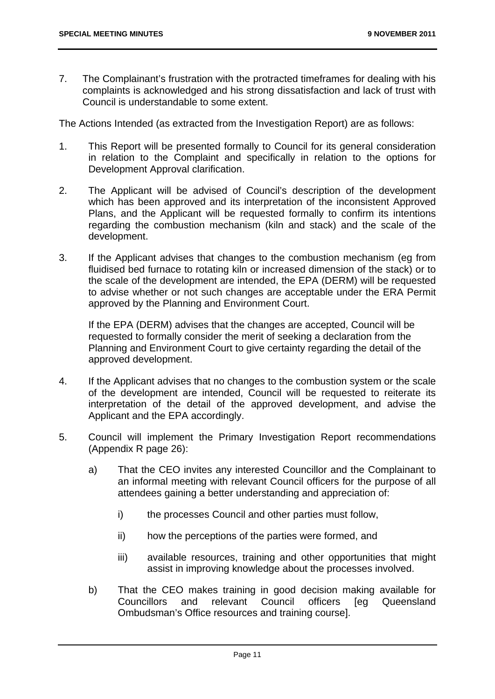7. The Complainant's frustration with the protracted timeframes for dealing with his complaints is acknowledged and his strong dissatisfaction and lack of trust with Council is understandable to some extent.

The Actions Intended (as extracted from the Investigation Report) are as follows:

- 1. This Report will be presented formally to Council for its general consideration in relation to the Complaint and specifically in relation to the options for Development Approval clarification.
- 2. The Applicant will be advised of Council's description of the development which has been approved and its interpretation of the inconsistent Approved Plans, and the Applicant will be requested formally to confirm its intentions regarding the combustion mechanism (kiln and stack) and the scale of the development.
- 3. If the Applicant advises that changes to the combustion mechanism (eg from fluidised bed furnace to rotating kiln or increased dimension of the stack) or to the scale of the development are intended, the EPA (DERM) will be requested to advise whether or not such changes are acceptable under the ERA Permit approved by the Planning and Environment Court.

If the EPA (DERM) advises that the changes are accepted, Council will be requested to formally consider the merit of seeking a declaration from the Planning and Environment Court to give certainty regarding the detail of the approved development.

- 4. If the Applicant advises that no changes to the combustion system or the scale of the development are intended, Council will be requested to reiterate its interpretation of the detail of the approved development, and advise the Applicant and the EPA accordingly.
- 5. Council will implement the Primary Investigation Report recommendations (Appendix R page 26):
	- a) That the CEO invites any interested Councillor and the Complainant to an informal meeting with relevant Council officers for the purpose of all attendees gaining a better understanding and appreciation of:
		- i) the processes Council and other parties must follow,
		- ii) how the perceptions of the parties were formed, and
		- iii) available resources, training and other opportunities that might assist in improving knowledge about the processes involved.
	- b) That the CEO makes training in good decision making available for Councillors and relevant Council officers [eg Queensland Ombudsman's Office resources and training course].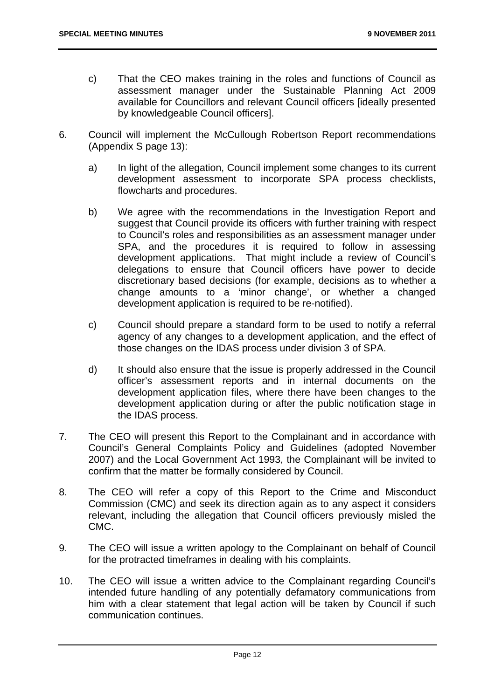- c) That the CEO makes training in the roles and functions of Council as assessment manager under the Sustainable Planning Act 2009 available for Councillors and relevant Council officers [ideally presented by knowledgeable Council officers].
- 6. Council will implement the McCullough Robertson Report recommendations (Appendix S page 13):
	- a) In light of the allegation, Council implement some changes to its current development assessment to incorporate SPA process checklists, flowcharts and procedures.
	- b) We agree with the recommendations in the Investigation Report and suggest that Council provide its officers with further training with respect to Council's roles and responsibilities as an assessment manager under SPA, and the procedures it is required to follow in assessing development applications. That might include a review of Council's delegations to ensure that Council officers have power to decide discretionary based decisions (for example, decisions as to whether a change amounts to a 'minor change', or whether a changed development application is required to be re-notified).
	- c) Council should prepare a standard form to be used to notify a referral agency of any changes to a development application, and the effect of those changes on the IDAS process under division 3 of SPA.
	- d) It should also ensure that the issue is properly addressed in the Council officer's assessment reports and in internal documents on the development application files, where there have been changes to the development application during or after the public notification stage in the IDAS process.
- 7. The CEO will present this Report to the Complainant and in accordance with Council's General Complaints Policy and Guidelines (adopted November 2007) and the Local Government Act 1993, the Complainant will be invited to confirm that the matter be formally considered by Council.
- 8. The CEO will refer a copy of this Report to the Crime and Misconduct Commission (CMC) and seek its direction again as to any aspect it considers relevant, including the allegation that Council officers previously misled the CMC.
- 9. The CEO will issue a written apology to the Complainant on behalf of Council for the protracted timeframes in dealing with his complaints.
- 10. The CEO will issue a written advice to the Complainant regarding Council's intended future handling of any potentially defamatory communications from him with a clear statement that legal action will be taken by Council if such communication continues.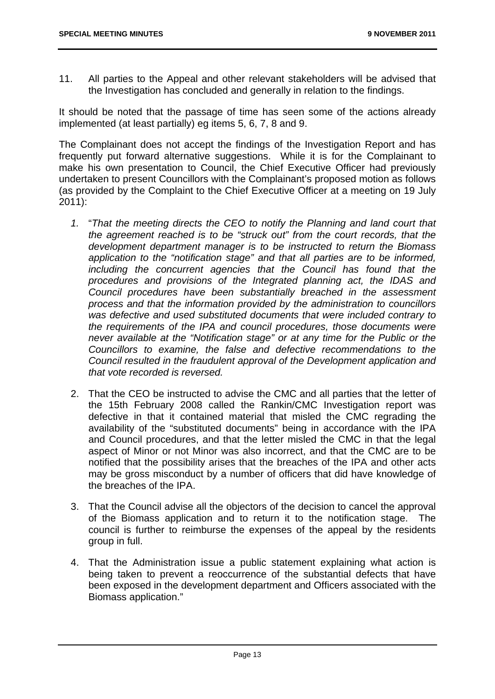11. All parties to the Appeal and other relevant stakeholders will be advised that the Investigation has concluded and generally in relation to the findings.

It should be noted that the passage of time has seen some of the actions already implemented (at least partially) eg items 5, 6, 7, 8 and 9.

The Complainant does not accept the findings of the Investigation Report and has frequently put forward alternative suggestions. While it is for the Complainant to make his own presentation to Council, the Chief Executive Officer had previously undertaken to present Councillors with the Complainant's proposed motion as follows (as provided by the Complaint to the Chief Executive Officer at a meeting on 19 July 2011):

- *1.* "*That the meeting directs the CEO to notify the Planning and land court that the agreement reached is to be "struck out" from the court records, that the development department manager is to be instructed to return the Biomass application to the "notification stage" and that all parties are to be informed, including the concurrent agencies that the Council has found that the procedures and provisions of the Integrated planning act, the IDAS and Council procedures have been substantially breached in the assessment process and that the information provided by the administration to councillors was defective and used substituted documents that were included contrary to the requirements of the IPA and council procedures, those documents were never available at the "Notification stage" or at any time for the Public or the Councillors to examine, the false and defective recommendations to the Council resulted in the fraudulent approval of the Development application and that vote recorded is reversed.*
- 2. That the CEO be instructed to advise the CMC and all parties that the letter of the 15th February 2008 called the Rankin/CMC Investigation report was defective in that it contained material that misled the CMC regrading the availability of the "substituted documents" being in accordance with the IPA and Council procedures, and that the letter misled the CMC in that the legal aspect of Minor or not Minor was also incorrect, and that the CMC are to be notified that the possibility arises that the breaches of the IPA and other acts may be gross misconduct by a number of officers that did have knowledge of the breaches of the IPA.
- 3. That the Council advise all the objectors of the decision to cancel the approval of the Biomass application and to return it to the notification stage. The council is further to reimburse the expenses of the appeal by the residents group in full.
- 4. That the Administration issue a public statement explaining what action is being taken to prevent a reoccurrence of the substantial defects that have been exposed in the development department and Officers associated with the Biomass application."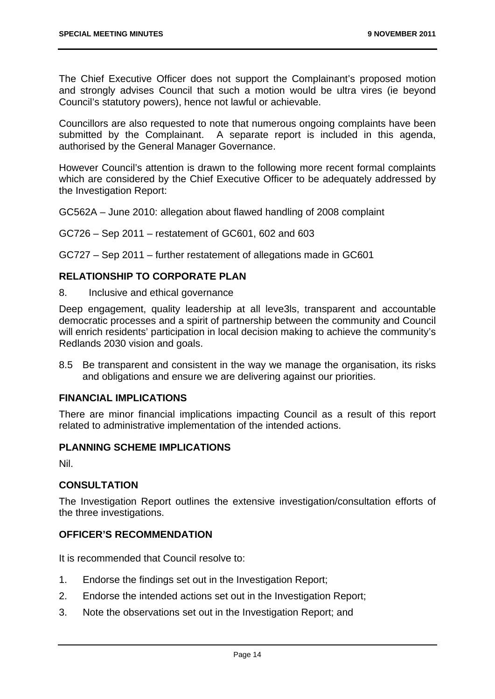The Chief Executive Officer does not support the Complainant's proposed motion and strongly advises Council that such a motion would be ultra vires (ie beyond Council's statutory powers), hence not lawful or achievable.

Councillors are also requested to note that numerous ongoing complaints have been submitted by the Complainant. A separate report is included in this agenda, authorised by the General Manager Governance.

However Council's attention is drawn to the following more recent formal complaints which are considered by the Chief Executive Officer to be adequately addressed by the Investigation Report:

GC562A – June 2010: allegation about flawed handling of 2008 complaint

GC726 – Sep 2011 – restatement of GC601, 602 and 603

GC727 – Sep 2011 – further restatement of allegations made in GC601

#### **RELATIONSHIP TO CORPORATE PLAN**

8. Inclusive and ethical governance

Deep engagement, quality leadership at all leve3ls, transparent and accountable democratic processes and a spirit of partnership between the community and Council will enrich residents' participation in local decision making to achieve the community's Redlands 2030 vision and goals.

8.5 Be transparent and consistent in the way we manage the organisation, its risks and obligations and ensure we are delivering against our priorities.

#### **FINANCIAL IMPLICATIONS**

There are minor financial implications impacting Council as a result of this report related to administrative implementation of the intended actions.

#### **PLANNING SCHEME IMPLICATIONS**

Nil.

#### **CONSULTATION**

The Investigation Report outlines the extensive investigation/consultation efforts of the three investigations.

#### **OFFICER'S RECOMMENDATION**

It is recommended that Council resolve to:

- 1. Endorse the findings set out in the Investigation Report;
- 2. Endorse the intended actions set out in the Investigation Report;
- 3. Note the observations set out in the Investigation Report; and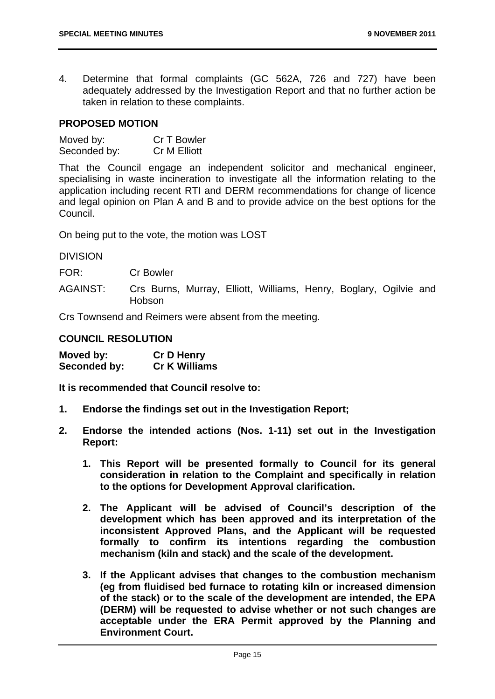4. Determine that formal complaints (GC 562A, 726 and 727) have been adequately addressed by the Investigation Report and that no further action be taken in relation to these complaints.

#### **PROPOSED MOTION**

| Moved by:    | Cr T Bowler         |
|--------------|---------------------|
| Seconded by: | <b>Cr M Elliott</b> |

That the Council engage an independent solicitor and mechanical engineer, specialising in waste incineration to investigate all the information relating to the application including recent RTI and DERM recommendations for change of licence and legal opinion on Plan A and B and to provide advice on the best options for the Council.

On being put to the vote, the motion was LOST

DIVISION

FOR: Cr Bowler

AGAINST: Crs Burns, Murray, Elliott, Williams, Henry, Boglary, Ogilvie and Hobson

Crs Townsend and Reimers were absent from the meeting.

#### **COUNCIL RESOLUTION**

| Moved by:    | <b>Cr D Henry</b>    |
|--------------|----------------------|
| Seconded by: | <b>Cr K Williams</b> |

**It is recommended that Council resolve to:** 

- **1. Endorse the findings set out in the Investigation Report;**
- **2. Endorse the intended actions (Nos. 1-11) set out in the Investigation Report:** 
	- **1. This Report will be presented formally to Council for its general consideration in relation to the Complaint and specifically in relation to the options for Development Approval clarification.**
	- **2. The Applicant will be advised of Council's description of the development which has been approved and its interpretation of the inconsistent Approved Plans, and the Applicant will be requested formally to confirm its intentions regarding the combustion mechanism (kiln and stack) and the scale of the development.**
	- **3. If the Applicant advises that changes to the combustion mechanism (eg from fluidised bed furnace to rotating kiln or increased dimension of the stack) or to the scale of the development are intended, the EPA (DERM) will be requested to advise whether or not such changes are acceptable under the ERA Permit approved by the Planning and Environment Court.**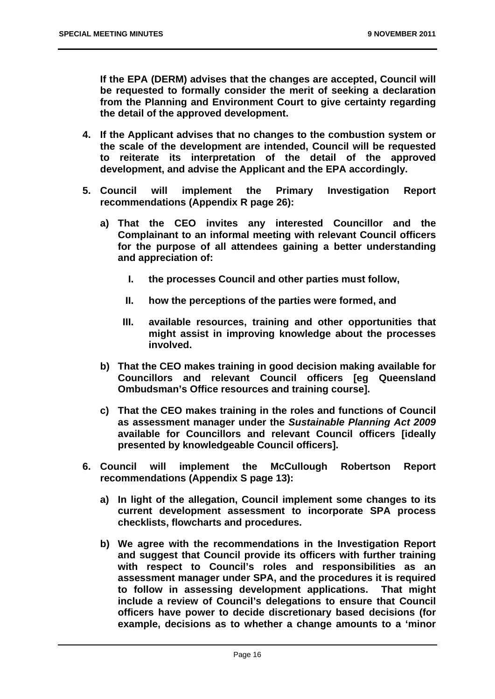**If the EPA (DERM) advises that the changes are accepted, Council will be requested to formally consider the merit of seeking a declaration from the Planning and Environment Court to give certainty regarding the detail of the approved development.** 

- **4. If the Applicant advises that no changes to the combustion system or the scale of the development are intended, Council will be requested to reiterate its interpretation of the detail of the approved development, and advise the Applicant and the EPA accordingly.**
- **5. Council will implement the Primary Investigation Report recommendations (Appendix R page 26):** 
	- **a) That the CEO invites any interested Councillor and the Complainant to an informal meeting with relevant Council officers for the purpose of all attendees gaining a better understanding and appreciation of:** 
		- **I. the processes Council and other parties must follow,**
		- **II. how the perceptions of the parties were formed, and**
		- **III. available resources, training and other opportunities that might assist in improving knowledge about the processes involved.**
	- **b) That the CEO makes training in good decision making available for Councillors and relevant Council officers [eg Queensland Ombudsman's Office resources and training course].**
	- **c) That the CEO makes training in the roles and functions of Council as assessment manager under the** *Sustainable Planning Act 2009* **available for Councillors and relevant Council officers [ideally presented by knowledgeable Council officers].**
- **6. Council will implement the McCullough Robertson Report recommendations (Appendix S page 13):** 
	- **a) In light of the allegation, Council implement some changes to its current development assessment to incorporate SPA process checklists, flowcharts and procedures.**
	- **b) We agree with the recommendations in the Investigation Report and suggest that Council provide its officers with further training with respect to Council's roles and responsibilities as an assessment manager under SPA, and the procedures it is required to follow in assessing development applications. That might include a review of Council's delegations to ensure that Council officers have power to decide discretionary based decisions (for example, decisions as to whether a change amounts to a 'minor**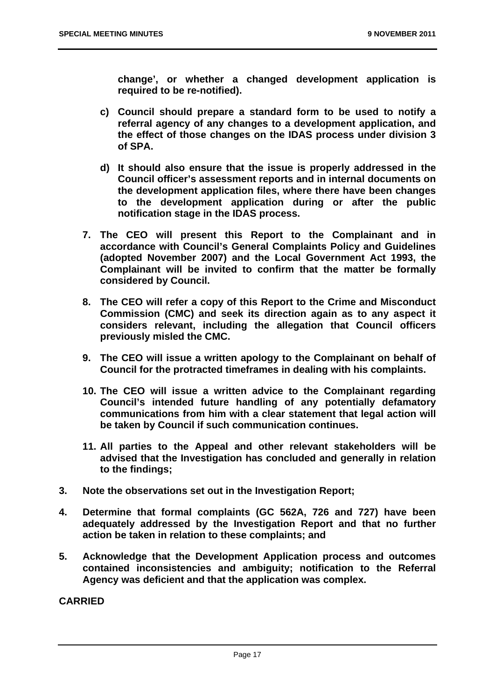**change', or whether a changed development application is required to be re-notified).** 

- **c) Council should prepare a standard form to be used to notify a referral agency of any changes to a development application, and the effect of those changes on the IDAS process under division 3 of SPA.**
- **d) It should also ensure that the issue is properly addressed in the Council officer's assessment reports and in internal documents on the development application files, where there have been changes to the development application during or after the public notification stage in the IDAS process.**
- **7. The CEO will present this Report to the Complainant and in accordance with Council's General Complaints Policy and Guidelines (adopted November 2007) and the Local Government Act 1993, the Complainant will be invited to confirm that the matter be formally considered by Council.**
- **8. The CEO will refer a copy of this Report to the Crime and Misconduct Commission (CMC) and seek its direction again as to any aspect it considers relevant, including the allegation that Council officers previously misled the CMC.**
- **9. The CEO will issue a written apology to the Complainant on behalf of Council for the protracted timeframes in dealing with his complaints.**
- **10. The CEO will issue a written advice to the Complainant regarding Council's intended future handling of any potentially defamatory communications from him with a clear statement that legal action will be taken by Council if such communication continues.**
- **11. All parties to the Appeal and other relevant stakeholders will be advised that the Investigation has concluded and generally in relation to the findings;**
- **3. Note the observations set out in the Investigation Report;**
- **4. Determine that formal complaints (GC 562A, 726 and 727) have been adequately addressed by the Investigation Report and that no further action be taken in relation to these complaints; and**
- **5. Acknowledge that the Development Application process and outcomes contained inconsistencies and ambiguity; notification to the Referral Agency was deficient and that the application was complex.**

#### **CARRIED**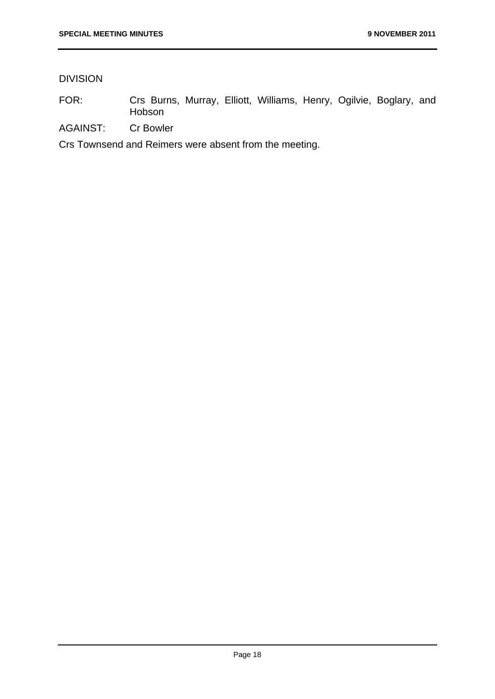#### DIVISION

- FOR: Crs Burns, Murray, Elliott, Williams, Henry, Ogilvie, Boglary, and Hobson
- AGAINST: Cr Bowler

Crs Townsend and Reimers were absent from the meeting.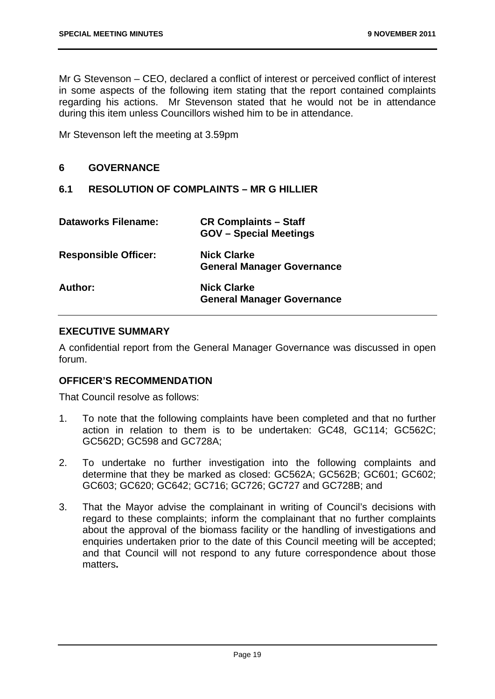Mr G Stevenson – CEO, declared a conflict of interest or perceived conflict of interest in some aspects of the following item stating that the report contained complaints regarding his actions. Mr Stevenson stated that he would not be in attendance during this item unless Councillors wished him to be in attendance.

Mr Stevenson left the meeting at 3.59pm

#### **6 GOVERNANCE**

#### **6.1 RESOLUTION OF COMPLAINTS – MR G HILLIER**

| <b>Dataworks Filename:</b>  | <b>CR Complaints - Staff</b><br><b>GOV</b> - Special Meetings |
|-----------------------------|---------------------------------------------------------------|
| <b>Responsible Officer:</b> | <b>Nick Clarke</b><br><b>General Manager Governance</b>       |
| Author:                     | <b>Nick Clarke</b><br><b>General Manager Governance</b>       |

#### **EXECUTIVE SUMMARY**

A confidential report from the General Manager Governance was discussed in open forum.

#### **OFFICER'S RECOMMENDATION**

That Council resolve as follows:

- 1. To note that the following complaints have been completed and that no further action in relation to them is to be undertaken: GC48, GC114; GC562C; GC562D; GC598 and GC728A;
- 2. To undertake no further investigation into the following complaints and determine that they be marked as closed: GC562A; GC562B; GC601; GC602; GC603; GC620; GC642; GC716; GC726; GC727 and GC728B; and
- 3. That the Mayor advise the complainant in writing of Council's decisions with regard to these complaints; inform the complainant that no further complaints about the approval of the biomass facility or the handling of investigations and enquiries undertaken prior to the date of this Council meeting will be accepted; and that Council will not respond to any future correspondence about those matters**.**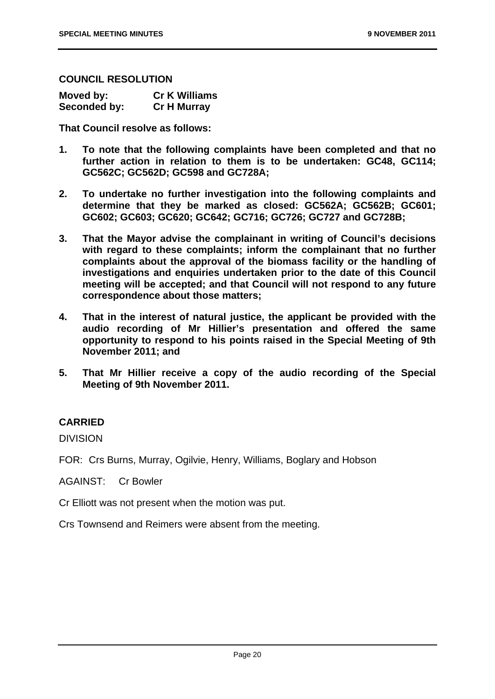#### **COUNCIL RESOLUTION**

| Moved by:    | <b>Cr K Williams</b> |
|--------------|----------------------|
| Seconded by: | <b>Cr H Murray</b>   |

**That Council resolve as follows:** 

- **1. To note that the following complaints have been completed and that no further action in relation to them is to be undertaken: GC48, GC114; GC562C; GC562D; GC598 and GC728A;**
- **2. To undertake no further investigation into the following complaints and determine that they be marked as closed: GC562A; GC562B; GC601; GC602; GC603; GC620; GC642; GC716; GC726; GC727 and GC728B;**
- **3. That the Mayor advise the complainant in writing of Council's decisions with regard to these complaints; inform the complainant that no further complaints about the approval of the biomass facility or the handling of investigations and enquiries undertaken prior to the date of this Council meeting will be accepted; and that Council will not respond to any future correspondence about those matters;**
- **4. That in the interest of natural justice, the applicant be provided with the audio recording of Mr Hillier's presentation and offered the same opportunity to respond to his points raised in the Special Meeting of 9th November 2011; and**
- **5. That Mr Hillier receive a copy of the audio recording of the Special Meeting of 9th November 2011.**

#### **CARRIED**

DIVISION

FOR: Crs Burns, Murray, Ogilvie, Henry, Williams, Boglary and Hobson

AGAINST: Cr Bowler

Cr Elliott was not present when the motion was put.

Crs Townsend and Reimers were absent from the meeting.